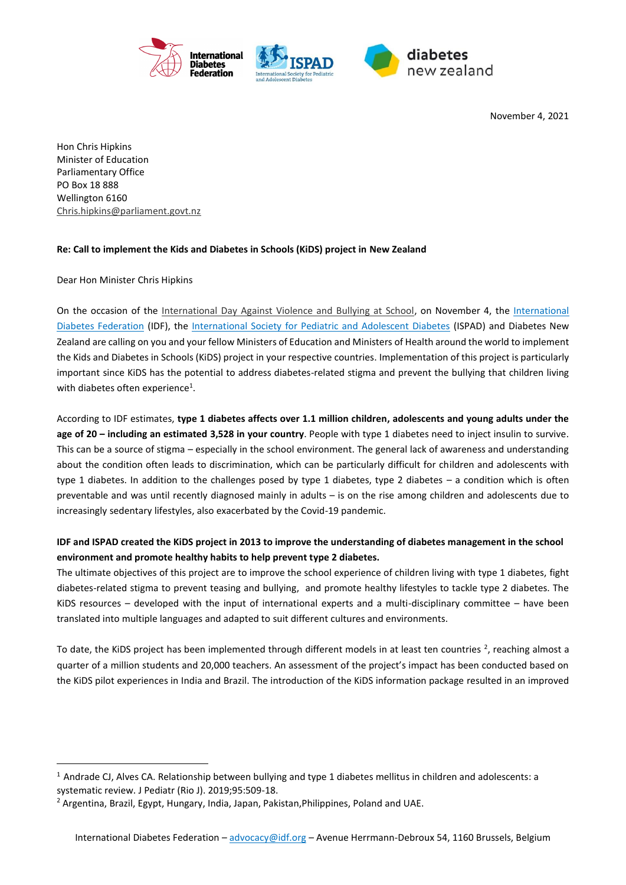

November 4, 2021

Hon Chris Hipkins Minister of Education Parliamentary Office PO Box 18 888 Wellington 6160 [Chris.hipkins@parliament.govt.nz](mailto:Chris.hipkins@parliament.govt.nz)

## **Re: Call to implement the Kids and Diabetes in Schools (KiDS) project in New Zealand**

Dear Hon Minister Chris Hipkins

 $\overline{\phantom{a}}$ 

On the occasion of the [International Day Against Violence and Bullying at School,](https://en.unesco.org/commemorations/dayagainstschoolviolenceandbullying) on November 4, the International [Diabetes Federation](https://idf.org/) (IDF), the [International Society for Pediatric and Adolescent Diabetes](https://www.ispad.org/) (ISPAD) and Diabetes New Zealand are calling on you and your fellow Ministers of Education and Ministers of Health around the world to implement the Kids and Diabetes in Schools (KiDS) project in your respective countries. Implementation of this project is particularly important since KiDS has the potential to address diabetes-related stigma and prevent the bullying that children living with diabetes often experience<sup>1</sup>.

According to IDF estimates, **type 1 diabetes affects over 1.1 million children, adolescents and young adults under the age of 20 – including an estimated 3,528 in your country**. People with type 1 diabetes need to inject insulin to survive. This can be a source of stigma – especially in the school environment. The general lack of awareness and understanding about the condition often leads to discrimination, which can be particularly difficult for children and adolescents with type 1 diabetes. In addition to the challenges posed by type 1 diabetes, type 2 diabetes – a condition which is often preventable and was until recently diagnosed mainly in adults – is on the rise among children and adolescents due to increasingly sedentary lifestyles, also exacerbated by the Covid-19 pandemic.

## **IDF and ISPAD created the KiDS project in 2013 to improve the understanding of diabetes management in the school environment and promote healthy habits to help prevent type 2 diabetes.**

The ultimate objectives of this project are to improve the school experience of children living with type 1 diabetes, fight diabetes-related stigma to prevent teasing and bullying, and promote healthy lifestyles to tackle type 2 diabetes. The KiDS resources – developed with the input of international experts and a multi-disciplinary committee – have been translated into multiple languages and adapted to suit different cultures and environments.

To date, the KiDS project has been implemented through different models in at least ten countries  $^2$ , reaching almost a quarter of a million students and 20,000 teachers. An assessment of the project's impact has been conducted based on the KiDS pilot experiences in India and Brazil. The introduction of the KiDS information package resulted in an improved

 $1$  Andrade CJ, Alves CA. Relationship between bullying and type 1 diabetes mellitus in children and adolescents: a systematic review. J Pediatr (Rio J). 2019;95:509-18.

<sup>&</sup>lt;sup>2</sup> Argentina, Brazil, Egypt, Hungary, India, Japan, Pakistan, Philippines, Poland and UAE.